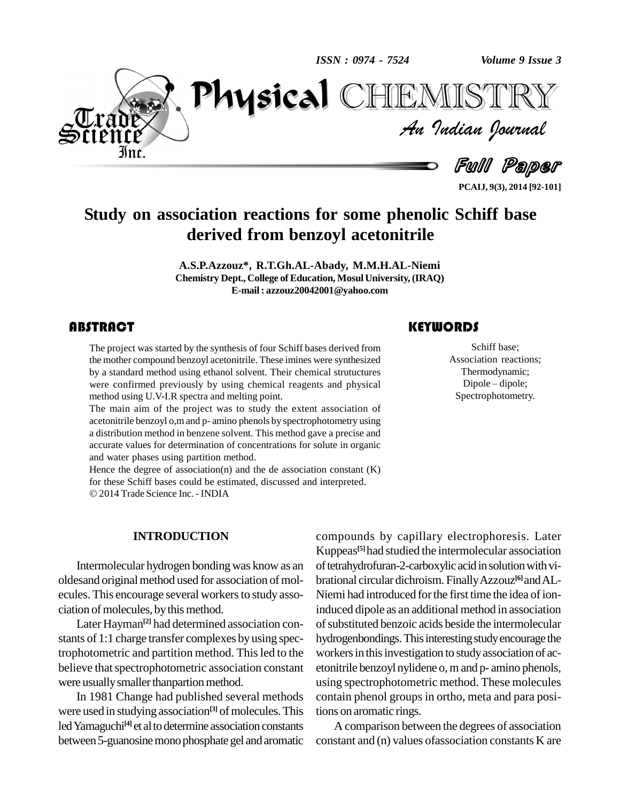*ISSN : 0974 - 7524*

*Volume 9 Issue 3*



*Volume 9 Issue 3*<br>ISTRY<br>*Indian Iournal* PhysicalCHEMISTRY

Full Paper

**PCAIJ, 9(3), 2014 [92-101]**

### **Study on association reactions for some phenolic Schiff base derived from benzoyl acetonitrile**

**A.S.P.Azzouz\*, R.T.Gh.AL-Abady, M.M.H.AL-Niemi Chemistry Dept., College of Education, Mosul University, (IRAQ) E-mail: [azzouz20042001@yahoo.com](mailto:azzouz20042001@yahoo.com)**

### **ABSTRACT**

The project was started by the synthesis of four Schiff bases derived from<br>the mother compound benzoyl acetonitrile. These imines were synthesized<br>by a standard method using ethanol solvent. Their chemical strutuctures The project was started by the synthesis of four Schiff bases derived from the mother compound benzoyl acetonitrile. These imines were synthesized were confirmed previously by using chemical reagents and physical method using U.V-I.R spectra and melting point.

The main aim of the project was to study the extent association of acetonitrile benzoyl o,mand p- amino phenols by spectrophotometry using a distribution method in benzene solvent. This method gave a precise and accurate values for determination of concentrations for solute in organic and water phases using partition method.

Hence the degree of association(n) and the de association constant (K) for these Schiff bases could be estimated, discussed and interpreted. 2014Trade Science Inc. - INDIA

Schiff base;<br>Association react<br>Thermodynami Schiff base; Association reactions;<br>Thermodynamic;<br>Dipole – dipole; Thermodynamic; Spectrophotometry.

#### **INTRODUCTION**

Intermolecular hydrogen bondingwas know as an oldesand original method used for association of molecules. This encourage several workers to study association of molecules, by this method.

Later Hayman<sup>[2]</sup> had determined association con- of s stants of 1:1 charge transfer complexes by using spectrophotometric and partition method. Thisled to the believe that spectrophotometric association constant were usually smaller thanpartion method.

In 1981 Change had published several methods were used in studying association<sup>[3]</sup> of molecules. This tions led Yamaguchi<sup>[4]</sup> et al to determine association constants between 5-guanosine mono phosphate gel and aromatic

compounds by capillary electrophoresis. Later Kuppeas **[5]**had studied the intermolecular association of tetrahydrofuran-2-carboxylic acid in solution with vibrational circular dichroism. Finally Azzouz<sup>[6]</sup> and AL-Niemi had introduced for the first time the idea of ioninduced dipole as an additional method in association of substituted benzoic acids beside the intermolecular hydrogenbondings. This interesting study encourage the workers in this investigation to study association of acetonitrile benzoyl nylidene o, m and p- amino phenols, using spectrophotometric method. These molecules contain phenol groups in ortho, meta and para positions on aromatic rings.

A comparison between the degrees of association constant and (n) values ofassociation constants K are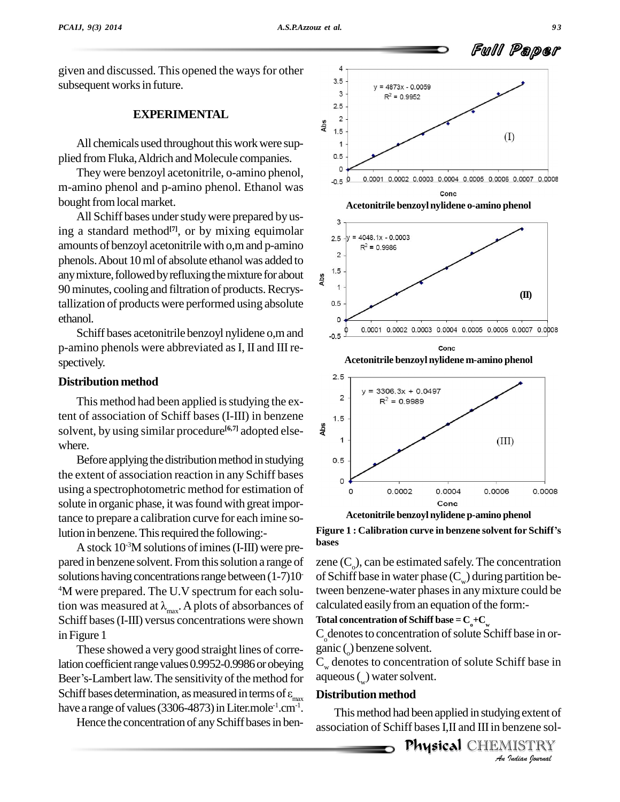given and discussed. This opened the ways for other  $\frac{4}{35}$ subsequent works in future.

### **EXPERIMENTAL**

All chemicals used throughout this work were supplied fromFluka,Aldrich and Molecule companies.

Theywere benzoyl acetonitrile, o-amino phenol, m-amino phenol and p-amino phenol. Ethanol was <sup>0.5</sup> bought from local market.

All Schiff bases under study were prepared by using a standard method<sup>[7]</sup>, or by mixing equimolar amounts of benzoyl acetonitrile with  $\sigma$ , m and p-amino phenols. About 10 ml of absolute ethanol was added to anymixture,followedbyrefluxingthemixture forabout 90minutes, cooling and filtration of products.Recrystallization of products were performed using absolute ethanol.

Schiff bases acetonitrile benzoyl nylidene o,mand p-amino phenols were abbreviated asI, II and III re spectively.

### **Distribution method**

This method had been applied is studying the extent of association of Schiff bases (I-III) in benzene<br>solvent, by using similar procedure<sup>[6,7]</sup> adopted elsesolvent, by using similar procedure **[6,7]** adopted else where.

Before applying the distribution method in studying  $\qquad 0.5$ the extent of association reaction in any Schiff bases using a spectrophotometric method for estimation of solute in organic phase, it was found with great importance to prepare a calibration curve for each imine solution in benzene. This required the following:-

A stock  $10<sup>3</sup>M$  solutions of imines (I-III) were prepared in benzene solvent. From this solution a range of solutions having concentrations range between  $(1-7)10$ <sup>4</sup>M were prepared. The U.V spectrum for each solusolutions having concentrations range between  $(1-7)10$  of S<br>
<sup>4</sup>M were prepared. The U.V spectrum for each solu-twe<br>
tion was measured at  $\lambda_{\text{max}}$ . A plots of absorbances of calc Schiff bases(I-III) versus concentrations were shown in Figure 1

These showed a very good straight lines of correlation coefficient range values 0.9952-0.9986 or obeying These showed a very good straight lines of corre-<br>lation coefficient range values 0.9952-0.9986 or obeying  $C_w$  Beer's-Lambert law. The sensitivity of the method for aqu lation coefficient range values 0.9952-0.9986 or obeying  $C_w$ <br>Beer's-Lambert law. The sensitivity of the method for aqu<br>Schiff bases determination, as measured in terms of  $\varepsilon_{max}$  **Dis**<br>have a range of values (3306-4873)  $-1.$ cm $-1.$ 

Hence the concentration of any Schiff bases in ben-





**bases**

of Schiff base in water phase  $(C_w)$  during partition bezene  $(C_0)$ , can be estimated safely. The concentration tween benzene-water phases in any mixture could be calculated easily from an equation of the form:-

**Total concentration** of **Schiff** base =  $C_{0} + C_{w}$ 

 $C_{\circ}$  denotes to concentration of solute Schiff base in or-<br>ganic () benzene solvent.

 $C_w$  denotes to concentration of solute Schiff base in aqueous (<sub>w</sub>) water solvent.

#### **Distribution method**

*Ing* extent of<br>
enzene sol-<br>IISTRY<br><sup>*Indian Iournal*</sup> This method had been applied in studying extent of association of Schiff bases I.II and III in benzene sol-

n dases 1,n and 111 in denzene soi-<br>**Physica1** CHEMISTRY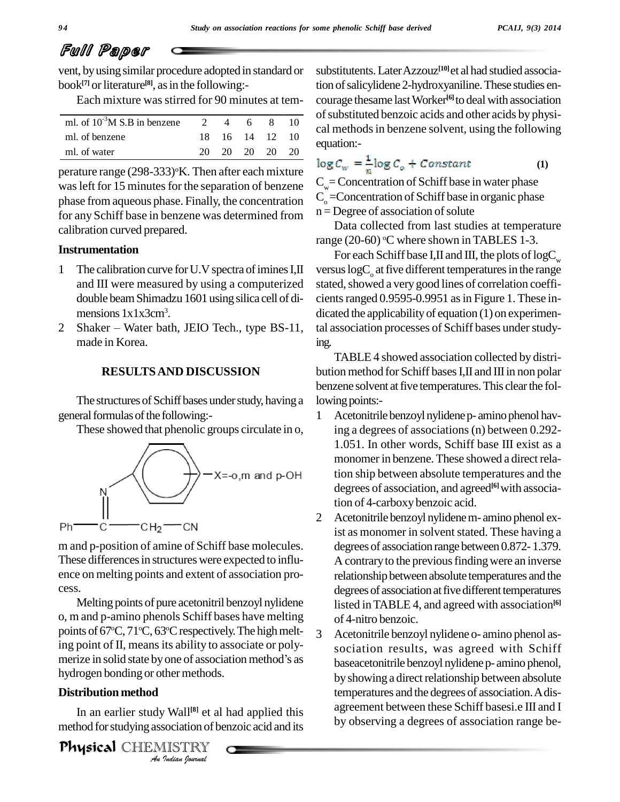## Full Paper

vent, byusing similar procedure adopted in standard or book<sup>[7]</sup> or literature<sup>[8]</sup>, as in the following:-

Each mixture was stirred for 90 minutes at tem-

|     |          |   |                              | of su |
|-----|----------|---|------------------------------|-------|
|     |          | 8 |                              | cal r |
|     |          |   |                              |       |
| 20. |          |   | 20                           | equa  |
|     | $\gamma$ | 4 | 6<br>18 16 14 12<br>20 20 20 |       |

perature range  $(298-333)$ °K. Then after each mixture was left for 15 minutes for the separation of benzene phase from aqueous phase. Finally, the concentration for any Schiff base in benzene was determined from calibration curved prepared.

#### **Instrumentation**

- 1 The calibration curve for U.V spectra of imines I, II and III were measured by using a computerized double beamShimadzu 1601 using silica cell of di mensions  $1x1x3cm^3$ .
- 2 Shaker Water bath, JEIO Tech., type BS-11, made in Korea.

#### **RESULTSAND DISCUSSION**

The structures of Schiff bases under study, having a general formulas of the following:-

These showed that phenolic groups circulate in o,



m and p-position of amine of Schiff base molecules. These differences in structures were expected to influence on melting points and extent of association pro cess.<br>Melting points of pure acetonitril benzoyl nylidene

hydrogen bonding or other methods. o, m and p-amino phenols Schiff bases have melting points of 67°C, 71°C, 63°C respectively. The high melt-<br>ing point of II, means its ability to associate or poly-<br>merize in solid state by one of association method's as ing point of II, means its ability to associate or poly-

### **Distribution method**

*I*<br>*I* Wall<sup>[8]</sup> et al<br>sociation of b<br>IISTRY<br>*Indian Iournal* In an earlier study Wall **[8]** et al had applied this method forstudying association of benzoic acid and its

**Physical** CHEMISTRY

substitutents.LaterAzzouz **[10]**et al had studied association of salicylidene 2-hydroxyaniline. These studies encourage thesame lastWorker **[6]** to deal with association of substituted benzoic acids and other acids by physical methods in benzene solvent, using the following equation:-

$$
\log C_w = \frac{1}{w} \log C_o + Constant \tag{1}
$$

 $C_w$ = Concentration of Schiff base in water phase  $C_{\alpha}$  =Concentration of Schiff base in organic phase  $n =$ Degree of association of solute

Data collected from last studies at temperature range (20-60) °C where shown in TABLES 1-3.

For each Schiff base I,II and III, the plots of  $logC_w$  versus logC<sub>o</sub> at five different temperatures in the range stated, showed a very good lines of correlation coefficients ranged  $0.9595-0.9951$  as in Figure 1. These indicated the applicability of equation (1) on experimental association processes of Schiff bases under studying.

TABLE 4 showed association collected by distri bution method for Schiff bases I, II and III in non polar benzene solvent at five temperatures. This clear the following points:-

- 1 Acetonitrile benzoyl nylidene p- amino phenol having a degrees of associations(n) between 0.292- 1.051. In other words, Schiff base III exist as a monomer in benzene. These showed a direct relation ship between absolute temperatures and the degrees of association, and agreed **[6]**with association of 4-carboxy benzoic acid.
- 2 Acetonitrile benzoyl nylidenem- amino phenol exist as monomer in solvent stated. These having a degrees of association range between 0.872-1.379. A contrary to the previous finding were an inverse relationship between absolute temperatures and the degrees of association at five different temperatures listed inTABLE 4, and agreed with association **[6]** of 4-nitro benzoic.
- 3 Acetonitrile benzoyl nylidene o- amino phenol as sociation results, was agreed with Schiff baseacetonitrile benzoyl nylidene p- amino phenol, by showing a direct relationship between absolute temperatures and the degrees of association.Adis agreement between these Schiff basesi.e III and I by observing a degrees of association range be-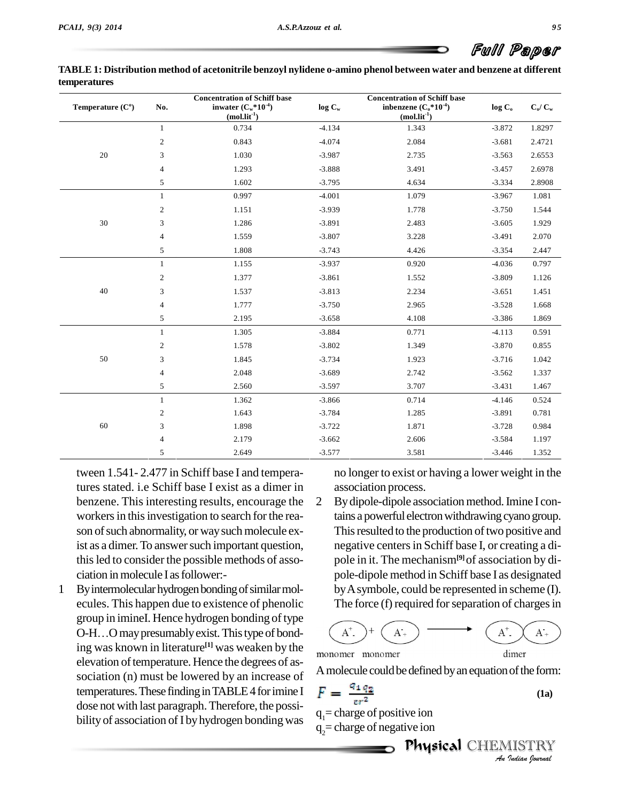60

| Temperature $(Co)$ | No.            | <b>Concentration of Schiff base</b><br>inwater $(C_w * 10^{-4})$<br>$(mol.lit-1)$ | log C <sub>w</sub> | <b>Concentration of Schiff base</b><br>inbenzene $(C_0*10^{-4})$<br>$(mol.lit-1)$ | $\log$ $\rm C_{o}$ | $\mathbf{C}_\text{o}/\mathbf{C}_\text{w}$ |
|--------------------|----------------|-----------------------------------------------------------------------------------|--------------------|-----------------------------------------------------------------------------------|--------------------|-------------------------------------------|
|                    | 1              | 0.734                                                                             | $-4.134$           | 1.343                                                                             | $-3.872$           | 1.8297                                    |
|                    | 2              | 0.843                                                                             | $-4.074$           | 2.084                                                                             | $-3.681$           | 2.4721                                    |
| 20                 | 3              | 1.030                                                                             | $-3.987$           | 2.735                                                                             | $-3.563$           | 2.6553                                    |
|                    | $\overline{4}$ | 1.293                                                                             | $-3.888$           | 3.491                                                                             | $-3.457$           | 2.6978                                    |
|                    | 5              | 1.602                                                                             | $-3.795$           | 4.634                                                                             | $-3.334$           | 2.8908                                    |
|                    | $\mathbf{1}$   | 0.997                                                                             | $-4.001$           | 1.079                                                                             | $-3.967$           | 1.081                                     |
|                    | 2              | 1.151                                                                             | $-3.939$           | 1.778                                                                             | $-3.750$           | 1.544                                     |
| 30                 | 3              | 1.286                                                                             | $-3.891$           | 2.483                                                                             | $-3.605$           | 1.929                                     |
|                    | $\overline{4}$ | 1.559                                                                             | $-3.807$           | 3.228                                                                             | $-3.491$           | 2.070                                     |
|                    | 5              | 1.808                                                                             | $-3.743$           | 4.426                                                                             | $-3.354$           | 2.447                                     |
|                    | $\mathbf{1}$   | 1.155                                                                             | $-3.937$           | 0.920                                                                             | $-4.036$           | 0.797                                     |
|                    | 2              | 1.377                                                                             | $-3.861$           | 1.552                                                                             | $-3.809$           | 1.126                                     |
| 40                 | 3              | 1.537                                                                             | $-3.813$           | 2.234                                                                             | $-3.651$           | 1.451                                     |
|                    | $\overline{4}$ | 1.777                                                                             | $-3.750$           | 2.965                                                                             | $-3.528$           | 1.668                                     |
|                    | 5              | 2.195                                                                             | $-3.658$           | 4.108                                                                             | $-3.386$           | 1.869                                     |
|                    | $\mathbf{1}$   | 1.305                                                                             | $-3.884$           | 0.771                                                                             | $-4.113$           | 0.591                                     |
|                    | 2              | 1.578                                                                             | $-3.802$           | 1.349                                                                             | $-3.870$           | 0.855                                     |
| 50                 | 3              | 1.845                                                                             | $-3.734$           | 1.923                                                                             | $-3.716$           | 1.042                                     |
|                    | $\overline{4}$ | 2.048                                                                             | $-3.689$           | 2.742                                                                             | $-3.562$           | 1.337                                     |
|                    | 5              | 2.560                                                                             | $-3.597$           | 3.707                                                                             | $-3.431$           | 1.467                                     |
|                    | $\mathbf{1}$   | 1.362                                                                             | $-3.866$           | 0.714                                                                             | $-4.146$           | 0.524                                     |

| TABLE 1: Distribution method of acetonitrile benzoyl nylidene o-amino phenol between water and benzene at different |  |
|---------------------------------------------------------------------------------------------------------------------|--|
| <b>temperatures</b>                                                                                                 |  |

tween 1.541- 2.477 in Schiff base I and temperatures stated. i.e Schiff base I exist as a dimer in benzene. This interesting results, encourage the 2 workers in this investigation to search for the reason of such abnormality, or way such molecule exist as a dimer. To answer such important question, thisled to consider the possible methods of asso ciation in molecule I as follower:-

1 By intermolecular hydrogen bonding of similar molecules. This happen due to existence of phenolic<br>group in imineI. Hence hydrogen bonding of type<br>O-H…O may presumably exist. This type of bondgroup in imineI. Hence hydrogen bonding of type ing was known in literature **[1]** was weaken by the elevation of temperature. Hence the degrees of association (n) must be lowered by an increase of temperatures. These finding in TABLE 4 for imine I dose not with last paragraph.Therefore, the possi bility of association of I by hydrogen bonding was

no longer to exist or having a lower weight in the association process.

By dipole-dipole association method. Imine I contains a powerful electron withdrawing cyano group. This resulted to the production of two positive and negative centersin Schiff base I, or creating a di pole in it. The mechanism**[9]**of association by di pole-dipole method in Schiff base I as designated byAsymbole, could be represented in scheme (I). The force (f) required for separation of charges in



2 1.643 -3.784 1.285 -3.891 0.781 3 1.898 -3.722 1.871 -3.728 0.984 4 2.179 -3.662 2.606 -3.584 1.197 5 2.649 -3.577 3.581 -3.446 1.352

A molecule could be defined by an equation of the form:

$$
F = \frac{q_1 q_2}{er^2} \tag{1a}
$$

 $q_1$ = charge of positive ion  $q_2$ = charge of negative ion

dimer

refor<br>**Physical** CHEMISTRY of the form:<br> **IISTRY**<br>IISTRY

Full Paper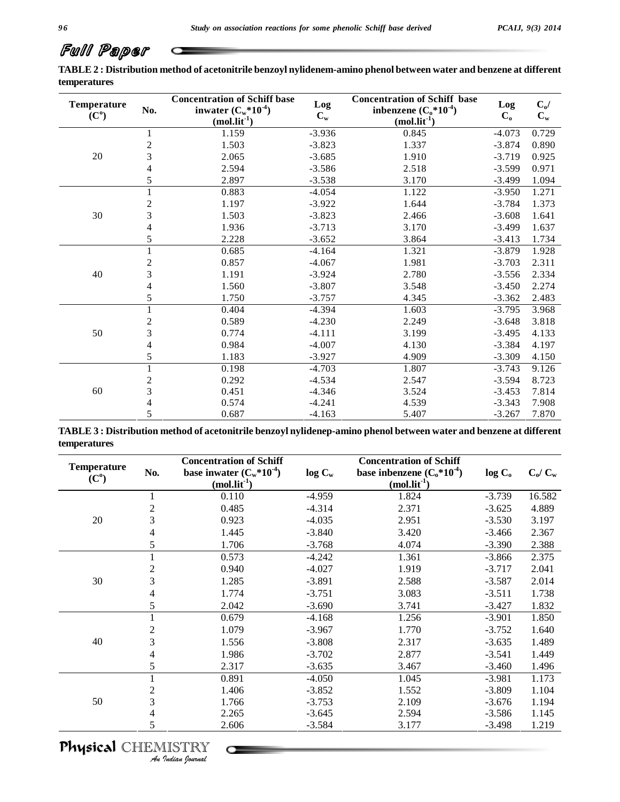# Full Paper

TABLE 2: Distribution method of acetonitrile benzoyl nylidenem-amino phenol between water and benzene at different **temperatures**

| <b>Temperature</b><br>(C <sup>0</sup> ) | No.              | <b>Concentration of Schiff base</b><br>inwater $(C_w^*10^4)$<br>$(mol.lit-1)$ | Log<br>$C_{w}$ | <b>Concentration of Schiff base</b><br>inbenzene $(C_0^*10^4)$<br>$(mol.lit-1)$ | Log<br>$\mathbf{C}_\mathrm{o}$ | $C_o/$<br>$C_{w}$ |
|-----------------------------------------|------------------|-------------------------------------------------------------------------------|----------------|---------------------------------------------------------------------------------|--------------------------------|-------------------|
|                                         | 1                | 1.159                                                                         | $-3.936$       | 0.845                                                                           | $-4.073$                       | 0.729             |
|                                         | $\sqrt{2}$       | 1.503                                                                         | $-3.823$       | 1.337                                                                           | $-3.874$                       | 0.890             |
| 20                                      | 3                | 2.065                                                                         | $-3.685$       | 1.910                                                                           | $-3.719$                       | 0.925             |
|                                         | $\overline{4}$   | 2.594                                                                         | $-3.586$       | 2.518                                                                           | $-3.599$                       | 0.971             |
|                                         | 5                | 2.897                                                                         | $-3.538$       | 3.170                                                                           | $-3.499$                       | 1.094             |
|                                         | $\mathbf{1}$     | 0.883                                                                         | $-4.054$       | 1.122                                                                           | $-3.950$                       | 1.271             |
|                                         | $\sqrt{2}$       | 1.197                                                                         | $-3.922$       | 1.644                                                                           | $-3.784$                       | 1.373             |
| $30\,$                                  | 3                | 1.503                                                                         | $-3.823$       | 2.466                                                                           | $-3.608$                       | 1.641             |
|                                         | $\overline{4}$   | 1.936                                                                         | $-3.713$       | 3.170                                                                           | $-3.499$                       | 1.637             |
|                                         | 5                | 2.228                                                                         | $-3.652$       | 3.864                                                                           | $-3.413$                       | 1.734             |
|                                         | 1                | 0.685                                                                         | $-4.164$       | 1.321                                                                           | $-3.879$                       | 1.928             |
|                                         | $\sqrt{2}$       | 0.857                                                                         | $-4.067$       | 1.981                                                                           | $-3.703$                       | 2.311             |
| 40                                      | 3                | 1.191                                                                         | $-3.924$       | 2.780                                                                           | $-3.556$                       | 2.334             |
|                                         | $\overline{4}$   | 1.560                                                                         | $-3.807$       | 3.548                                                                           | $-3.450$                       | 2.274             |
|                                         | 5                | 1.750                                                                         | $-3.757$       | 4.345                                                                           | $-3.362$                       | 2.483             |
|                                         | $\mathbf{1}$     | 0.404                                                                         | $-4.394$       | 1.603                                                                           | $-3.795$                       | 3.968             |
|                                         | $\boldsymbol{2}$ | 0.589                                                                         | $-4.230$       | 2.249                                                                           | $-3.648$                       | 3.818             |
| 50                                      | $\mathfrak{Z}$   | 0.774                                                                         | $-4.111$       | 3.199                                                                           | $-3.495$                       | 4.133             |
|                                         | $\overline{4}$   | 0.984                                                                         | $-4.007$       | 4.130                                                                           | $-3.384$                       | 4.197             |
|                                         | 5                | 1.183                                                                         | $-3.927$       | 4.909                                                                           | $-3.309$                       | 4.150             |
|                                         | 1                | 0.198                                                                         | $-4.703$       | 1.807                                                                           | $-3.743$                       | 9.126             |
|                                         | $\mathbf{2}$     | 0.292                                                                         | $-4.534$       | 2.547                                                                           | $-3.594$                       | 8.723             |
| 60                                      | 3                | 0.451                                                                         | $-4.346$       | 3.524                                                                           | $-3.453$                       | 7.814             |
|                                         | 4                | 0.574                                                                         | $-4.241$       | 4.539                                                                           | $-3.343$                       | 7.908             |
|                                         | 5                | 0.687                                                                         | $-4.163$       | 5.407                                                                           | $-3.267$                       | 7.870             |

TABLE 3 : Distribution method of acetonitrile benzoyl nylidenep-amino phenol between water and benzene at different **temperatures**

| <b>Temperature</b> |                | <b>Concentration of Schiff</b> |           | <b>Concentration of Schiff</b> |                    |           |
|--------------------|----------------|--------------------------------|-----------|--------------------------------|--------------------|-----------|
| (C <sup>0</sup> )  | No.            | base inwater $(C_w^*10^{-4})$  | $log C_w$ | base inbenzene $(C_0^*10^4)$   | log C <sub>o</sub> | $C_o/C_w$ |
|                    |                | $(mol.$ lit <sup>-1</sup> )    |           | $(mol.$ lit <sup>-1</sup> )    |                    |           |
|                    |                | 0.110                          | $-4.959$  | 1.824                          | $-3.739$           | 16.582    |
|                    | 2              | 0.485                          | $-4.314$  | 2.371                          | $-3.625$           | 4.889     |
| 20                 | 3              | 0.923                          | $-4.035$  | 2.951                          | $-3.530$           | 3.197     |
|                    | 4              | 1.445                          | $-3.840$  | 3.420                          | $-3.466$           | 2.367     |
|                    | 5              | 1.706                          | $-3.768$  | 4.074                          | $-3.390$           | 2.388     |
|                    |                | 0.573                          | $-4.242$  | 1.361                          | $-3.866$           | 2.375     |
|                    | $\overline{2}$ | 0.940                          | $-4.027$  | 1.919                          | $-3.717$           | 2.041     |
| 30                 | 3              | 1.285                          | $-3.891$  | 2.588                          | $-3.587$           | 2.014     |
|                    | 4              | 1.774                          | $-3.751$  | 3.083                          | $-3.511$           | 1.738     |
|                    | 5              | 2.042                          | $-3.690$  | 3.741                          | $-3.427$           | 1.832     |
|                    |                | 0.679                          | $-4.168$  | 1.256                          | $-3.901$           | 1.850     |
|                    | $\overline{2}$ | 1.079                          | $-3.967$  | 1.770                          | $-3.752$           | 1.640     |
| 40                 | 3              | 1.556                          | $-3.808$  | 2.317                          | $-3.635$           | 1.489     |
|                    | 4              | 1.986                          | $-3.702$  | 2.877                          | $-3.541$           | 1.449     |
|                    | 5              | 2.317                          | $-3.635$  | 3.467                          | $-3.460$           | 1.496     |
|                    |                | 0.891                          | $-4.050$  | 1.045                          | $-3.981$           | 1.173     |
|                    | 2              | 1.406                          | $-3.852$  | 1.552                          | $-3.809$           | 1.104     |
| 50                 | 3              | 1.766                          | $-3.753$  | 2.109                          | $-3.676$           | 1.194     |
|                    | 4              | 2.265                          | $-3.645$  | 2.594                          | $-3.586$           | 1.145     |
|                    | 5              | 2.606                          | $-3.584$  | 3.177                          | $-3.498$           | 1.219     |

### *9 6*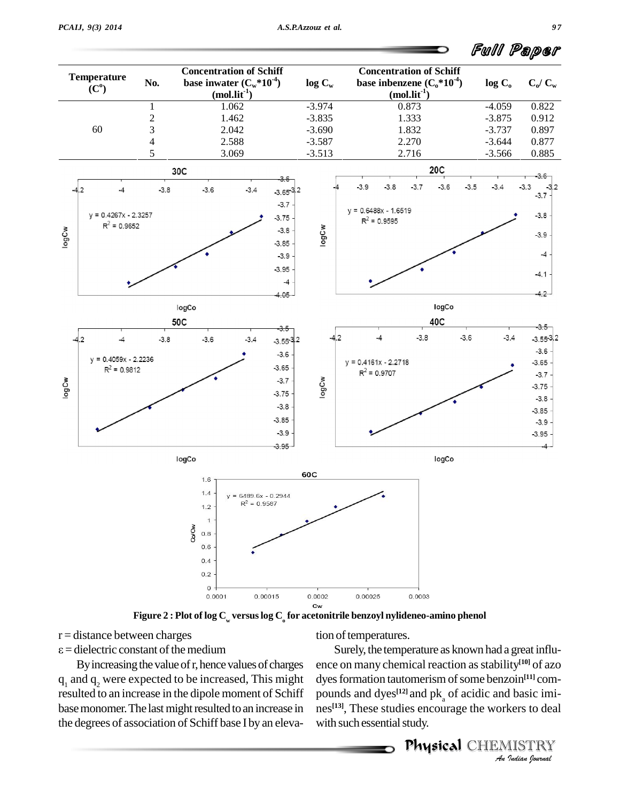

**Figure 2 : Plot of log C<sup>w</sup> versuslog C<sup>o</sup> for acetonitrile benzoyl nylideneo-amino phenol**

 $r =$  distance between charges

 $\varepsilon$  = dielectric constant of the medium

By increasing the value of r, hence values of charges  $q_1$  and  $q_2$  were expected to be increased, This might resulted to an increase in the dipole moment of Schiff base monomer. The last might resulted to an increase in the degrees of association of Schiff base I by an elevation of temperatures.

dyes formation tautomerism of some benzoin<sup>[11]</sup> com-*I*<br>*I* basic imikers to deal<br>IISTRY<br>Indian lournal Surely, the temperature as known had a great influ ence on many chemical reaction asstability **[10]** of azo pounds and dyes $^{[12]}$  and  $_{\rm \parallel}$ pounds and dyes<sup>[12]</sup> and pk<sub>a</sub> of acidic and basic imi-<br>nes<sup>[13]</sup>, These studies encourage the workers to deal with such essential study.

Physical CHEMISTRY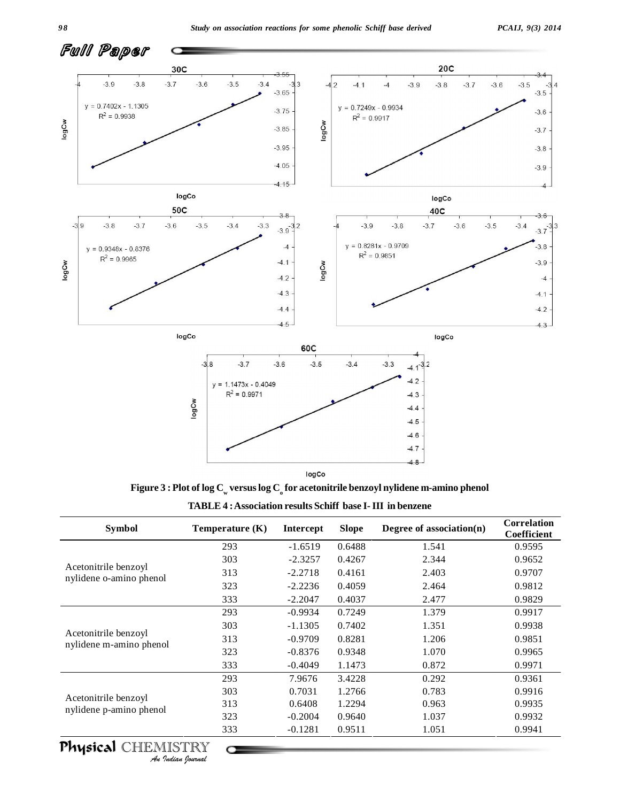

**Figure**  $3$  **:** Plot of log  $C_w$  versus log  $C_o$  for acetonitrile benzoyl nylidene m-amino phenol

| <b>TABLE 4: Association results Schiff base I-III in benzene</b> |  |
|------------------------------------------------------------------|--|
|------------------------------------------------------------------|--|

| <b>Symbol</b>                                   | Temperature $(K)$ | <b>Intercept</b> | <b>Slope</b> | Correlation<br>Degree of association $(n)$<br>Coefficient |        |
|-------------------------------------------------|-------------------|------------------|--------------|-----------------------------------------------------------|--------|
|                                                 | 293               | $-1.6519$        | 0.6488       | 1.541                                                     | 0.9595 |
|                                                 | 303               | $-2.3257$        | 0.4267       | 2.344                                                     | 0.9652 |
| Acetonitrile benzoyl<br>nylidene o-amino phenol | 313               | $-2.2718$        | 0.4161       | 2.403                                                     | 0.9707 |
|                                                 | 323               | $-2.2236$        | 0.4059       | 2.464                                                     | 0.9812 |
|                                                 | 333               | $-2.2047$        | 0.4037       | 2.477                                                     | 0.9829 |
|                                                 | 293               | $-0.9934$        | 0.7249       | 1.379                                                     | 0.9917 |
|                                                 | 303               | $-1.1305$        | 0.7402       | 1.351                                                     | 0.9938 |
| Acetonitrile benzoyl<br>nylidene m-amino phenol | 313               | $-0.9709$        | 0.8281       | 1.206                                                     | 0.9851 |
|                                                 | 323               | $-0.8376$        | 0.9348       | 1.070                                                     | 0.9965 |
|                                                 | 333               | $-0.4049$        | 1.1473       | 0.872                                                     | 0.9971 |
|                                                 | 293               | 7.9676           | 3.4228       | 0.292                                                     | 0.9361 |
|                                                 | 303               | 0.7031           | 1.2766       | 0.783                                                     | 0.9916 |
| Acetonitrile benzoyl                            | 313               | 0.6408           | 1.2294       | 0.963                                                     | 0.9935 |
| nylidene p-amino phenol                         | 323               | $-0.2004$        | 0.9640       | 1.037                                                     | 0.9932 |
|                                                 | 333               | $-0.1281$        | 0.9511       | 1.051                                                     | 0.9941 |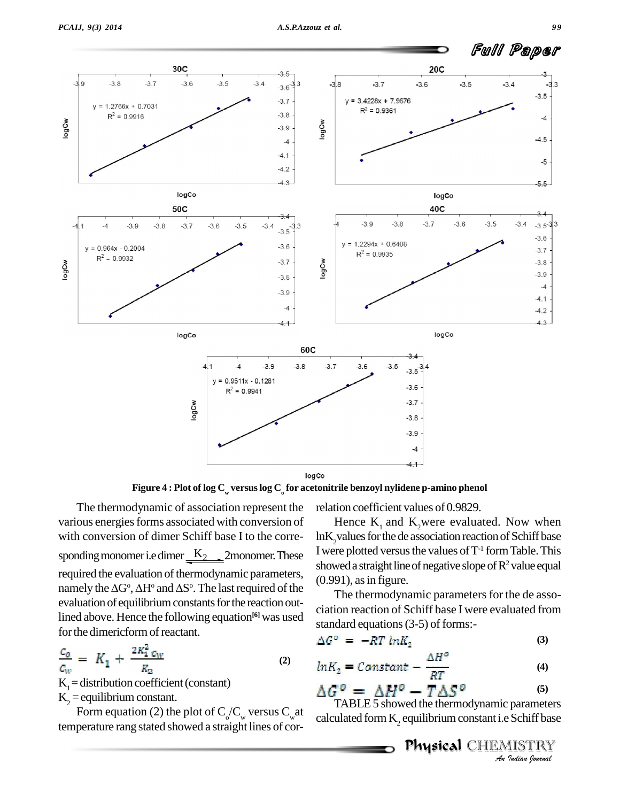

logCo

**Figure 4 : Plot of log C<sup>w</sup> versuslog C<sup>o</sup> for acetonitrile benzoyl nylidene p-amino phenol**

The thermodynamic of association represent the various energies forms associated with conversion of with conversion of dimer Schiff base I to the corre sponding monomer i.e dimer  $\underbrace{K_2}$  2monomer. These<br>required the evaluation of thermodynamic parameters,<br>namely the  $\Delta G^{\circ}$ ,  $\Delta H^{\circ}$  and  $\Delta S^{\circ}$ . The last required of the required the evaluation of thermodynamic parameters, <sup>o</sup>. The last required of the  $\frac{(0.55)^n}{T!}$ evaluation of equilibrium constants for the reaction outlined above. Hence the following equation<sup>[6]</sup> was used for the dimericform of reactant.

$$
\frac{c_o}{c_w} = K_1 + \frac{2K_1^2 c_w}{R_2} \tag{2}
$$

 $K_1$  = distribution coefficient (constant)<br> $K_2$  = equilibrium constant.

 $K_2$  = equilibrium constant.<br>Form equation (2) the plot of  $C_0/C_w$  versus  $C_w$  at call temperature rang stated showed a straight lines of cor-

relation coefficient values of 0.9829.

Hence  $K_1$  and  $K_2$  were evaluated. Now when lnK<sub>2</sub>values for the de association reaction of Schiff base I were plotted versus the values of  $\mathrm{T}^{\text{-}1}$  form Table. This showed a straight line of negative slope of  $R^2$  value equal  $(0.991)$ , as in figure.

The thermodynamic parameters for the de association reaction of Schiff base I were evaluated from standard equations  $(3-5)$  of forms:-

$$
\Delta G^{\circ} = -RT \ln K_2 \tag{3}
$$

$$
ln K_2 = Constant - \frac{\Delta H^o}{RT}
$$
 (4)

$$
\Delta G^{\circ} = \Delta H^{\circ} - T\Delta S^{\circ} \tag{5}
$$

*Indian*<br>*I* Schiff base<br>*IISTRY*<br>*Indian Iournal* TABLE 5 showed the thermodynamic parameters calculated form  $K_2$  equilibrium constant i.e Schiff base

Physical CHEMISTRY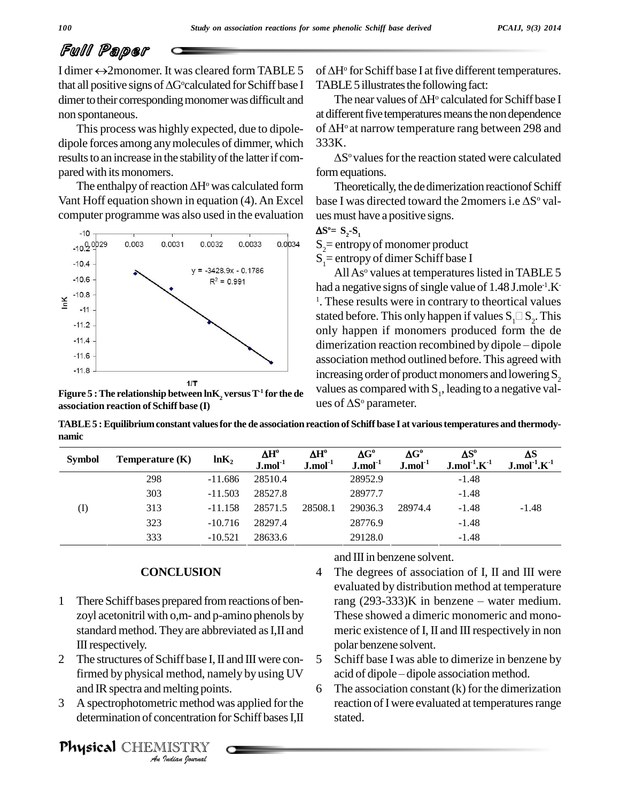# Full Paper

I dimer  $\leftrightarrow$ 2monomer. It was cleared form TABLE 5 that all positive signs of  $\Delta G^{\circ}$ calculated for Schiff base I dimer to their corresponding monomer was difficult and non spontaneous.

This process was highly expected, due to dipole dipole forces among any molecules of dimmer, which 333K. results to an increase in the stability of the latter if compared with its monomers.

The enthalpy of reaction  $\Delta H^{\circ}$  was calculated form Vant Hoff equation shown in equation (4).An Excel computer programme was also used in the evaluation



**Figure 5**  $:$  The relationship between lnK<sub>2</sub> versus T<sup>-1</sup> for the de **association reaction of Schiff base (I)**

of  $\Delta H^{\circ}$  for Schiff base I at five different temperatures. TABLE 5 illustrates the following fact:

The near values of  $\Delta H^{\circ}$  calculated for Schiff base I at different five temperatures means the non dependence The near values of  $\Delta H^{\circ}$  calculated for Schiff base I<br>at different five temperatures means the non dependence<br>of  $\Delta H^{\circ}$  at narrow temperature rang between 298 and of  $\Delta H^{\circ}$  at narrow temperature rang between 298 and

S<sup>o</sup> values for the reaction stated were calculated formequations.

Theoretically, the de dimerization reaction of Schiff form equations.<br>Theoretically, the de dimerization reaction of Schiff<br>base I was directed toward the 2momers i.e  $\Delta S^{\circ}$  valuesmust have <sup>a</sup> positive signs.

$$
\Delta S^{\circ} = S_2 - S_1
$$

 $S_2$ = entropy of monomer product

 $S_1$ = entropy of dimer Schiff base I

All As $^{\circ}$  values at temperatures listed in TABLE 5 had a negative signs of single value of  $1.48$  J.mole<sup>-1</sup>.K $\overline{\phantom{a}}$ <sup>1</sup>. These results were in contrary to theortical values had a negative signs of single value of 1.48 J.mole<sup>-1</sup>.K<sup>-1</sup>. These results were in contrary to theortical values stated before. This only happen if values  $S_1 \Box S_2$ . This only happen if monomers produced form the de di only happen if monomers produced form the de association method outlined before. This agreed with increasing order of product monomers and lowering  $S_2$ <br>values as compared with  $S_1$ , leading to a negative val-<br>ues of  $\Delta S^{\circ}$  parameter. values as compared with  $S_1$ , leading to a negative values of  $\Delta S^{\circ}$  parameter.

TABLE 5 : Equilibrium constant values for the de association reaction of Schiff base I at various temperatures and thermody-<br>
mamic<br>
Symbol Temperature (K)  $ln K_2$   $\Delta H^o$   $\Delta G^o$   $\Delta G^o$   $\Delta S^o$   $\Delta S$   $\Delta S$ **namic**

| <b>Symbol</b> | Temperature $(K)$ | ln K <sub>2</sub> | $\mathbf{\Delta H}^\text{o}$<br>$J$ .mol $^{-1}$ | $\Delta H^{\rm o}$<br>$J$ .mol $^{-1}$ | $\Delta G^{\rm o}$<br>$J$ .mol $^{-1}$ | $\Delta G^{\rm o}$<br>$J$ .mol $^{-1}$ | $\Delta S^o$<br>$J$ .mol $1 K-1$ | ΔS<br>$J$ .mol $^{-1}$ .K $^{-1}$ |
|---------------|-------------------|-------------------|--------------------------------------------------|----------------------------------------|----------------------------------------|----------------------------------------|----------------------------------|-----------------------------------|
|               | 298               | $-11.686$         | 28510.4                                          |                                        | 28952.9                                |                                        | $-1.48$                          |                                   |
|               | 303               | $-11.503$         | 28527.8                                          |                                        | 28977.7                                |                                        | $-1.48$                          |                                   |
| (I)           | 313               | $-11.158$         | 28571.5                                          | 28508.1                                | 29036.3                                | 28974.4                                | $-1.48$                          | $-1.48$                           |
|               | 323               | $-10.716$         | 28297.4                                          |                                        | 28776.9                                |                                        | $-1.48$                          |                                   |
|               | 333               | $-10.521$         | 28633.6                                          |                                        | 29128.0                                |                                        | $-1.48$                          |                                   |

### **CONCLUSION**

- 1 There Schiff bases prepared from reactions of benzoyl acetonitril with o,m- and p-amino phenols by standard method. They are abbreviated as I, II and IIIrespectively.
- firmed by physical method, namely by using UV acid of 2 The structures of Schiff base I, II and III were con- $5$ and IR spectra and melting points.
- *I* method, nar<br>*Indian* poin<br>*IISTRY*<br>*IISTRY*<br>*Indian Iournal* 3 A spectrophotometric method was applied forthe determination of concentration for Schiff bases I.II

Physical CHEMISTRY

and III in benzene solvent.

- 4 The degrees of association of I, II and III were evaluated by distribution method at temperature rang  $(293-333)K$  in benzene – water medium. These showed a dimeric monomeric and mono meric existence of I, II and III respectively in non polar benzene solvent.
- 5 Schiff base I was able to dimerize in benzene by polar benzene solvent.<br>Schiff base I was able to dimerize in benzene ł<br>acid of dipole – dipole association method.
- 6 The association constant  $(k)$  for the dimerization reaction of I were evaluated at temperatures range stated.